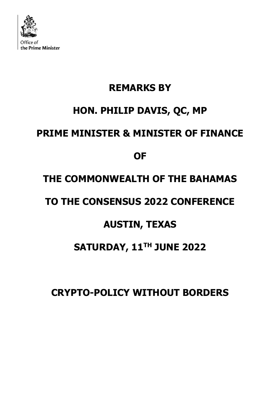

## **REMARKS BY HON. PHILIP DAVIS, QC, MP PRIME MINISTER & MINISTER OF FINANCE OF THE COMMONWEALTH OF THE BAHAMAS TO THE CONSENSUS 2022 CONFERENCE**

## **AUSTIN, TEXAS**

## **SATURDAY, 11TH JUNE 2022**

**CRYPTO-POLICY WITHOUT BORDERS**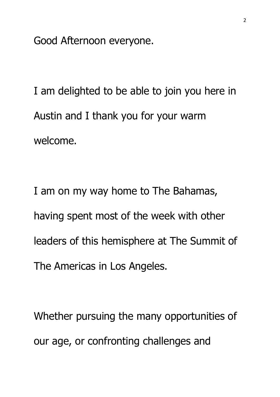Good Afternoon everyone.

I am delighted to be able to join you here in Austin and I thank you for your warm welcome.

I am on my way home to The Bahamas, having spent most of the week with other leaders of this hemisphere at The Summit of The Americas in Los Angeles.

Whether pursuing the many opportunities of our age, or confronting challenges and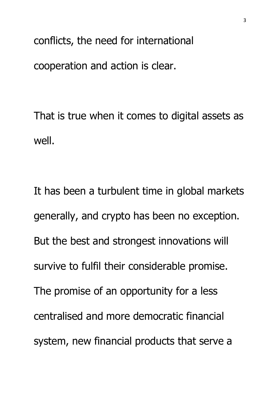conflicts, the need for international cooperation and action is clear.

That is true when it comes to digital assets as well.

It has been a turbulent time in global markets generally, and crypto has been no exception. But the best and strongest innovations will survive to fulfil their considerable promise. The promise of an opportunity for a less centralised and more democratic financial system, new financial products that serve a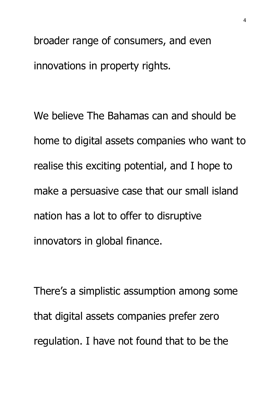broader range of consumers, and even innovations in property rights.

We believe The Bahamas can and should be home to digital assets companies who want to realise this exciting potential, and I hope to make a persuasive case that our small island nation has a lot to offer to disruptive innovators in global finance.

There's a simplistic assumption among some that digital assets companies prefer zero regulation. I have not found that to be the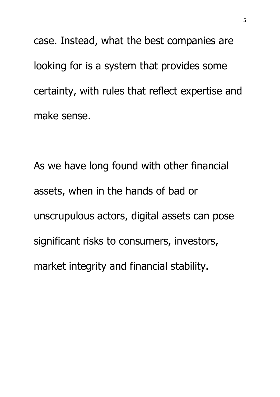case. Instead, what the best companies are looking for is a system that provides some certainty, with rules that reflect expertise and make sense.

As we have long found with other financial assets, when in the hands of bad or unscrupulous actors, digital assets can pose significant risks to consumers, investors, market integrity and financial stability.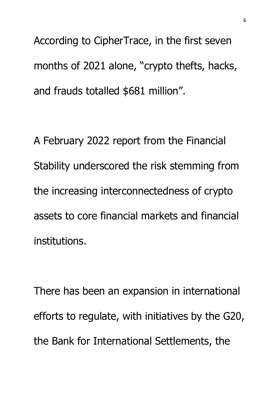According to CipherTrace, in the first seven months of 2021 alone, "crypto thefts, hacks, and frauds totalled \$681 million".

A February 2022 report from the Financial Stability underscored the risk stemming from the increasing interconnectedness of crypto assets to core financial markets and financial institutions.

There has been an expansion in international efforts to regulate, with initiatives by the G20, the Bank for International Settlements, the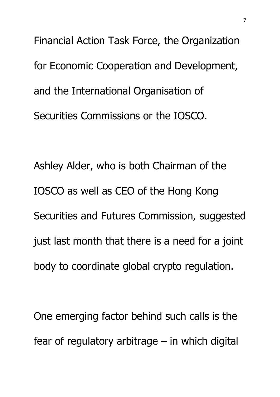Financial Action Task Force, the Organization for Economic Cooperation and Development, and the International Organisation of Securities Commissions or the IOSCO.

Ashley Alder, who is both Chairman of the IOSCO as well as CEO of the Hong Kong Securities and Futures Commission, suggested just last month that there is a need for a joint body to coordinate global crypto regulation.

One emerging factor behind such calls is the fear of regulatory arbitrage – in which digital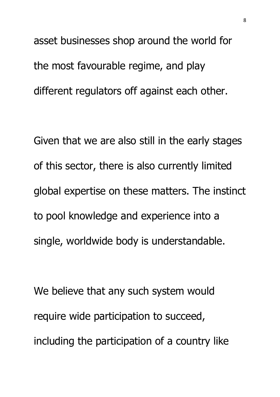asset businesses shop around the world for the most favourable regime, and play different regulators off against each other.

Given that we are also still in the early stages of this sector, there is also currently limited global expertise on these matters. The instinct to pool knowledge and experience into a single, worldwide body is understandable.

We believe that any such system would require wide participation to succeed, including the participation of a country like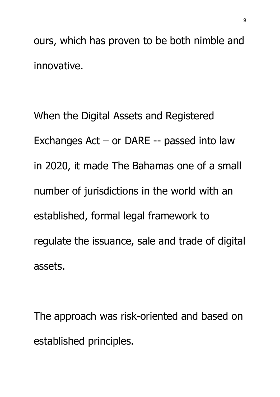ours, which has proven to be both nimble and innovative.

When the Digital Assets and Registered Exchanges Act – or DARE -- passed into law in 2020, it made The Bahamas one of a small number of jurisdictions in the world with an established, formal legal framework to regulate the issuance, sale and trade of digital assets.

The approach was risk-oriented and based on established principles.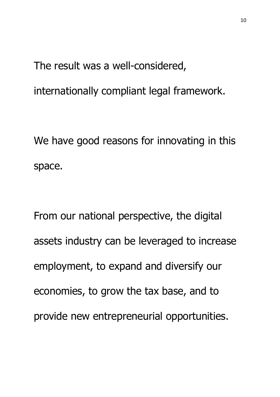The result was a well-considered,

internationally compliant legal framework.

We have good reasons for innovating in this space.

From our national perspective, the digital assets industry can be leveraged to increase employment, to expand and diversify our economies, to grow the tax base, and to provide new entrepreneurial opportunities.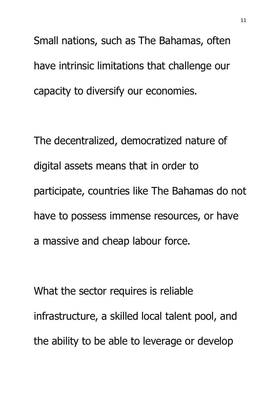Small nations, such as The Bahamas, often have intrinsic limitations that challenge our capacity to diversify our economies.

The decentralized, democratized nature of digital assets means that in order to participate, countries like The Bahamas do not have to possess immense resources, or have a massive and cheap labour force.

What the sector requires is reliable infrastructure, a skilled local talent pool, and the ability to be able to leverage or develop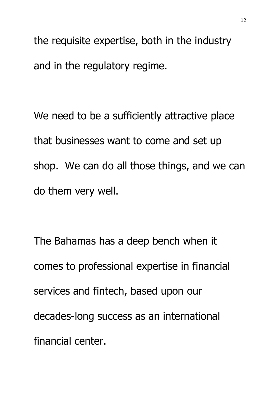the requisite expertise, both in the industry and in the regulatory regime.

We need to be a sufficiently attractive place that businesses want to come and set up shop. We can do all those things, and we can do them very well.

The Bahamas has a deep bench when it comes to professional expertise in financial services and fintech, based upon our decades-long success as an international financial center.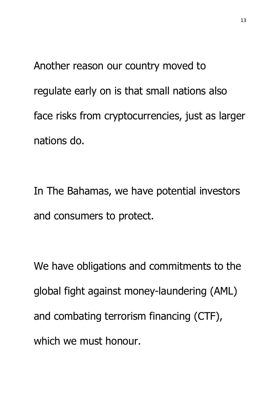Another reason our country moved to regulate early on is that small nations also face risks from cryptocurrencies, just as larger nations do.

In The Bahamas, we have potential investors and consumers to protect.

We have obligations and commitments to the global fight against money-laundering (AML) and combating terrorism financing (CTF), which we must honour.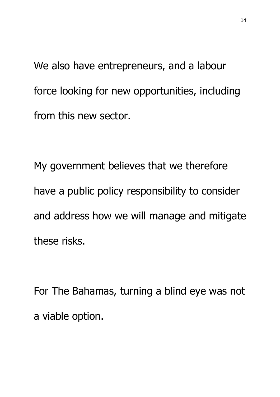We also have entrepreneurs, and a labour force looking for new opportunities, including from this new sector.

My government believes that we therefore have a public policy responsibility to consider and address how we will manage and mitigate these risks.

For The Bahamas, turning a blind eye was not a viable option.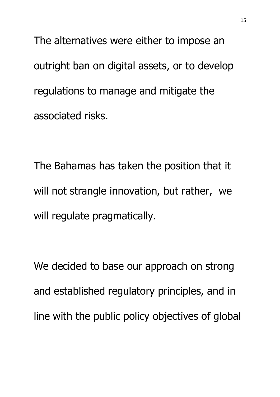The alternatives were either to impose an outright ban on digital assets, or to develop regulations to manage and mitigate the associated risks.

The Bahamas has taken the position that it will not strangle innovation, but rather, we will regulate pragmatically.

We decided to base our approach on strong and established regulatory principles, and in line with the public policy objectives of global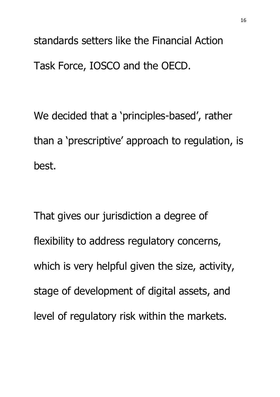standards setters like the Financial Action Task Force, IOSCO and the OECD.

We decided that a 'principles-based', rather than a 'prescriptive' approach to regulation, is best.

That gives our jurisdiction a degree of flexibility to address regulatory concerns, which is very helpful given the size, activity, stage of development of digital assets, and level of regulatory risk within the markets.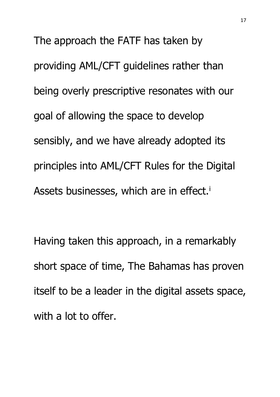The approach the FATF has taken by providing AML/CFT guidelines rather than being overly prescriptive resonates with our goal of allowing the space to develop sensibly, and we have already adopted its principles into AML/CFT Rules for the Digital Assets businesses, which are in effect.<sup>i</sup>

Having taken this approach, in a remarkably short space of time, The Bahamas has proven itself to be a leader in the digital assets space, with a lot to offer.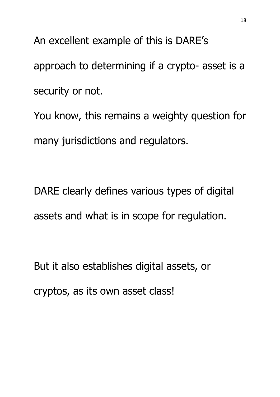An excellent example of this is DARE's approach to determining if a crypto- asset is a security or not.

You know, this remains a weighty question for many jurisdictions and regulators.

DARE clearly defines various types of digital assets and what is in scope for regulation.

But it also establishes digital assets, or

cryptos, as its own asset class!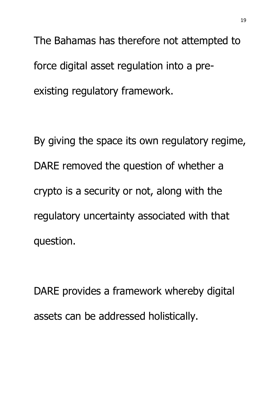The Bahamas has therefore not attempted to force digital asset regulation into a preexisting regulatory framework.

By giving the space its own regulatory regime, DARE removed the question of whether a crypto is a security or not, along with the regulatory uncertainty associated with that question.

DARE provides a framework whereby digital assets can be addressed holistically.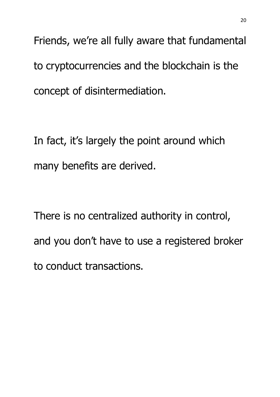Friends, we're all fully aware that fundamental to cryptocurrencies and the blockchain is the concept of disintermediation.

In fact, it's largely the point around which many benefits are derived.

There is no centralized authority in control, and you don't have to use a registered broker to conduct transactions.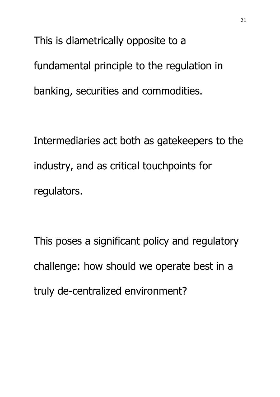This is diametrically opposite to a fundamental principle to the regulation in banking, securities and commodities.

Intermediaries act both as gatekeepers to the industry, and as critical touchpoints for regulators.

This poses a significant policy and regulatory challenge: how should we operate best in a truly de-centralized environment?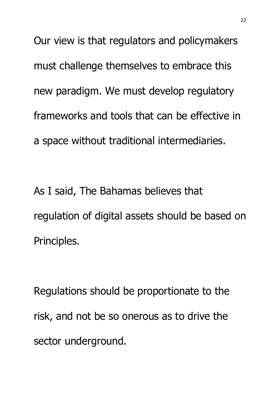Our view is that regulators and policymakers must challenge themselves to embrace this new paradigm. We must develop regulatory frameworks and tools that can be effective in a space without traditional intermediaries.

As I said, The Bahamas believes that regulation of digital assets should be based on Principles.

Regulations should be proportionate to the risk, and not be so onerous as to drive the sector underground.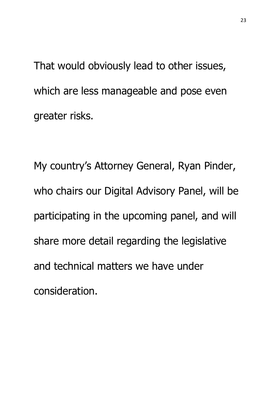That would obviously lead to other issues, which are less manageable and pose even greater risks.

My country's Attorney General, Ryan Pinder, who chairs our Digital Advisory Panel, will be participating in the upcoming panel, and will share more detail regarding the legislative and technical matters we have under consideration.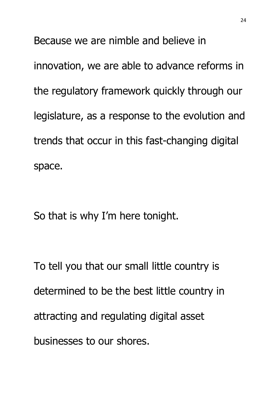Because we are nimble and believe in innovation, we are able to advance reforms in the regulatory framework quickly through our legislature, as a response to the evolution and trends that occur in this fast-changing digital space.

So that is why I'm here tonight.

To tell you that our small little country is determined to be the best little country in attracting and regulating digital asset businesses to our shores.